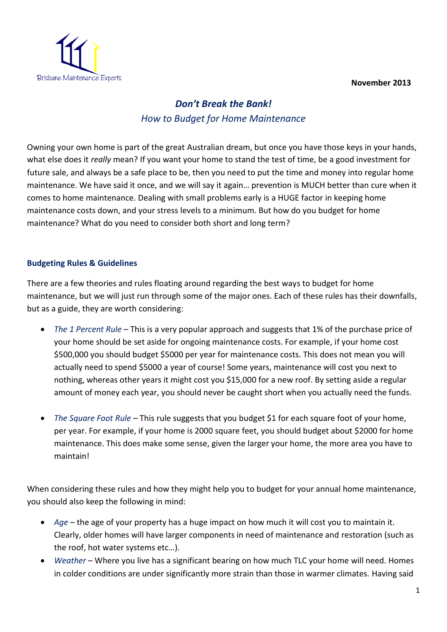

## *Don't Break the Bank! How to Budget for Home Maintenance*

Owning your own home is part of the great Australian dream, but once you have those keys in your hands, what else does it *really* mean? If you want your home to stand the test of time, be a good investment for future sale, and always be a safe place to be, then you need to put the time and money into regular home maintenance. We have said it once, and we will say it again… prevention is MUCH better than cure when it comes to home maintenance. Dealing with small problems early is a HUGE factor in keeping home maintenance costs down, and your stress levels to a minimum. But how do you budget for home maintenance? What do you need to consider both short and long term?

## **Budgeting Rules & Guidelines**

There are a few theories and rules floating around regarding the best ways to budget for home maintenance, but we will just run through some of the major ones. Each of these rules has their downfalls, but as a guide, they are worth considering:

- *The 1 Percent Rule* This is a very popular approach and suggests that 1% of the purchase price of your home should be set aside for ongoing maintenance costs. For example, if your home cost \$500,000 you should budget \$5000 per year for maintenance costs. This does not mean you will actually need to spend \$5000 a year of course! Some years, maintenance will cost you next to nothing, whereas other years it might cost you \$15,000 for a new roof. By setting aside a regular amount of money each year, you should never be caught short when you actually need the funds.
- *The Square Foot Rule* This rule suggests that you budget \$1 for each square foot of your home, per year. For example, if your home is 2000 square feet, you should budget about \$2000 for home maintenance. This does make some sense, given the larger your home, the more area you have to maintain!

When considering these rules and how they might help you to budget for your annual home maintenance, you should also keep the following in mind:

- *Age* the age of your property has a huge impact on how much it will cost you to maintain it. Clearly, older homes will have larger components in need of maintenance and restoration (such as the roof, hot water systems etc…).
- *Weather* Where you live has a significant bearing on how much TLC your home will need. Homes in colder conditions are under significantly more strain than those in warmer climates. Having said